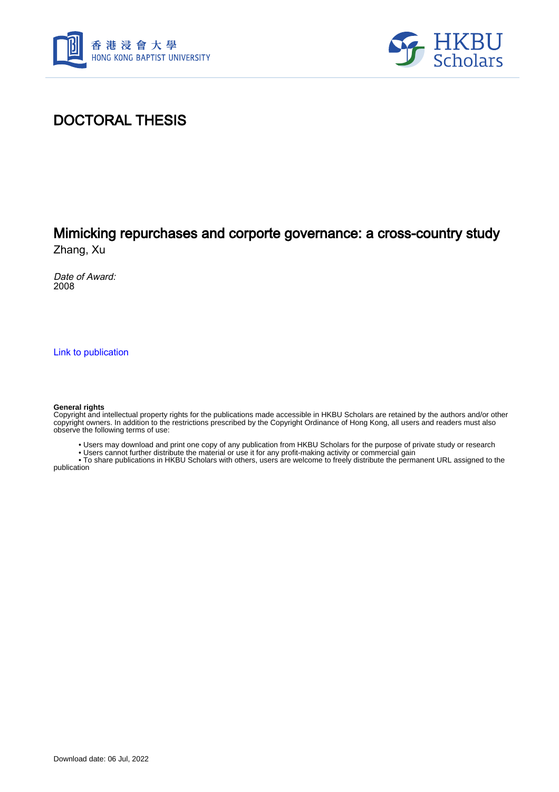



#### DOCTORAL THESIS

# Mimicking repurchases and corporte governance: a cross-country study

Zhang, Xu

Date of Award: 2008

[Link to publication](https://scholars.hkbu.edu.hk/en/studentTheses/a694d497-f86a-4555-877a-5853e51391bb)

#### **General rights**

Copyright and intellectual property rights for the publications made accessible in HKBU Scholars are retained by the authors and/or other copyright owners. In addition to the restrictions prescribed by the Copyright Ordinance of Hong Kong, all users and readers must also observe the following terms of use:

• Users may download and print one copy of any publication from HKBU Scholars for the purpose of private study or research

• Users cannot further distribute the material or use it for any profit-making activity or commercial gain

 • To share publications in HKBU Scholars with others, users are welcome to freely distribute the permanent URL assigned to the publication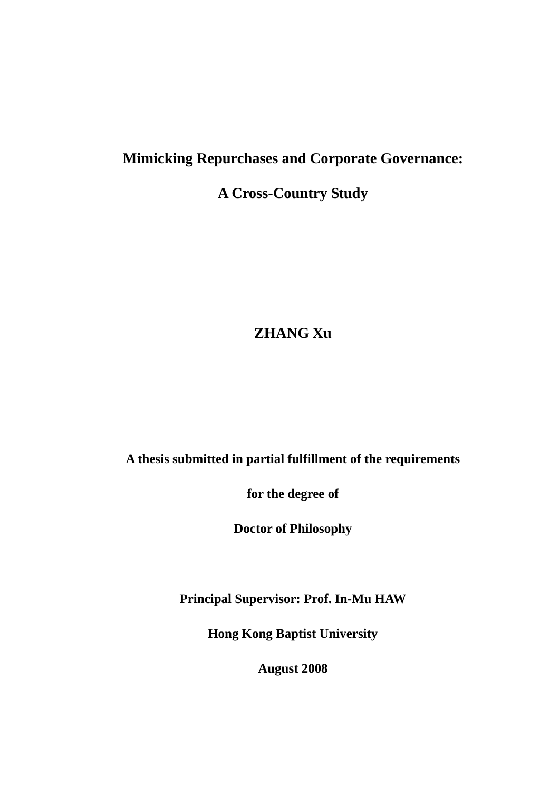# **Mimicking Repurchases and Corporate Governance:**

### **A Cross-Country Study**

# **ZHANG Xu**

#### **A thesis submitted in partial fulfillment of the requirements**

**for the degree of** 

**Doctor of Philosophy** 

**Principal Supervisor: Prof. In-Mu HAW** 

**Hong Kong Baptist University** 

**August 2008**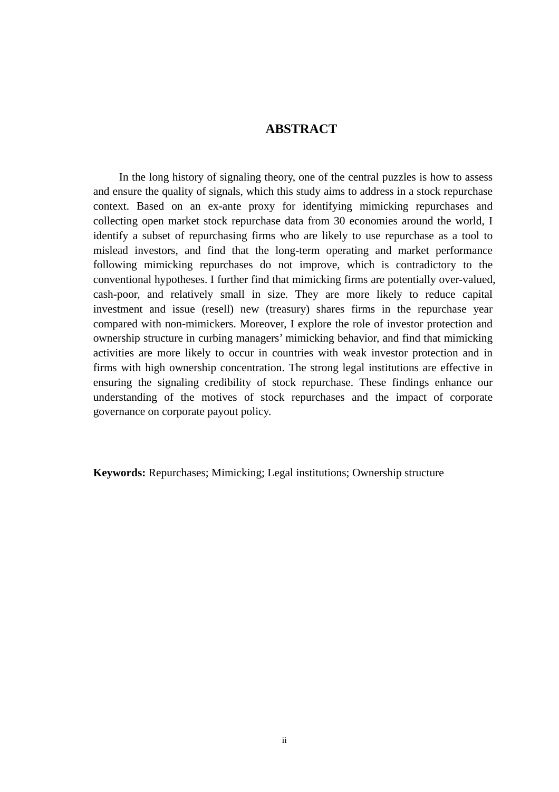#### **ABSTRACT**

<span id="page-2-0"></span>In the long history of signaling theory, one of the central puzzles is how to assess and ensure the quality of signals, which this study aims to address in a stock repurchase context. Based on an ex-ante proxy for identifying mimicking repurchases and collecting open market stock repurchase data from 30 economies around the world, I identify a subset of repurchasing firms who are likely to use repurchase as a tool to mislead investors, and find that the long-term operating and market performance following mimicking repurchases do not improve, which is contradictory to the conventional hypotheses. I further find that mimicking firms are potentially over-valued, cash-poor, and relatively small in size. They are more likely to reduce capital investment and issue (resell) new (treasury) shares firms in the repurchase year compared with non-mimickers. Moreover, I explore the role of investor protection and ownership structure in curbing managers' mimicking behavior, and find that mimicking activities are more likely to occur in countries with weak investor protection and in firms with high ownership concentration. The strong legal institutions are effective in ensuring the signaling credibility of stock repurchase. These findings enhance our understanding of the motives of stock repurchases and the impact of corporate governance on corporate payout policy.

**Keywords:** Repurchases; Mimicking; Legal institutions; Ownership structure